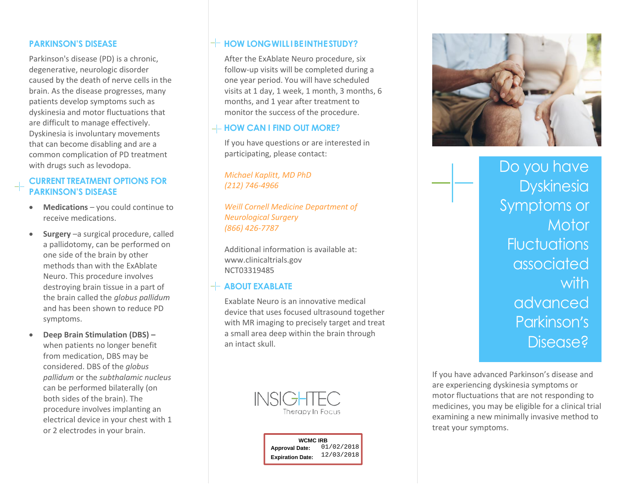#### **PARKINSON'S DISEASE**

Parkinson's disease (PD) is a chronic, degenerative, neurologic disorder caused by the death of nerve cells in the brain. As the disease progresses, many patients develop symptoms such as dyskinesia and motor fluctuations that are difficult to manage effectively. Dyskinesia is involuntary movements that can become disabling and are a common complication of PD treatment with drugs such as levodopa.

#### **CURRENT TREATMENT OPTIONS FOR PARKINSON'S DISEASE**

- **Medications** you could continue to receive medications.
- **Surgery** –a surgical procedure, called a pallidotomy, can be performed on one side of the brain by other methods than with the ExAblate Neuro. This procedure involves destroying brain tissue in a part of the brain called the *globus pallidum* and has been shown to reduce PD symptoms.
- **Deep Brain Stimulation (DBS) –** when patients no longer benefit from medication, DBS may be considered. DBS of the *globus pallidum* or the *subthalamic nucleus* can be performed bilaterally (on both sides of the brain). The procedure involves implanting an electrical device in your chest with 1 or 2 electrodes in your brain.

## $H$  **HOW LONG WILL I BE INTHE STUDY?**

After the ExAblate Neuro procedure, six follow-up visits will be completed during a one year period. You will have scheduled visits at 1 day, 1 week, 1 month, 3 months, 6 months, and 1 year after treatment to monitor the success of the procedure.

## $+$  HOW CAN I FIND OUT MORE?

If you have questions or are interested in participating, please contact:

*Michael Kaplitt, MD PhD (212) 746-4966*

*Weill Cornell Medicine Department of Neurological Surgery (866) 426-7787*

Additional information is available at: www.clinicaltrials.gov NCT03319485

#### **ABOUT EXABLATE**

Exablate Neuro is an innovative medical device that uses focused ultrasound together with MR imaging to precisely target and treat a small area deep within the brain through an intact skull.

> **INSIG** Therapy In Focus





Do you have Dyskinesia Symptoms or **Motor Fluctuations** associated with advanced Parkinson's Disease?

If you have advanced Parkinson's disease and are experiencing dyskinesia symptoms or motor fluctuations that are not responding to medicines, you may be eligible for a clinical trial examining a new minimally invasive method to treat your symptoms.